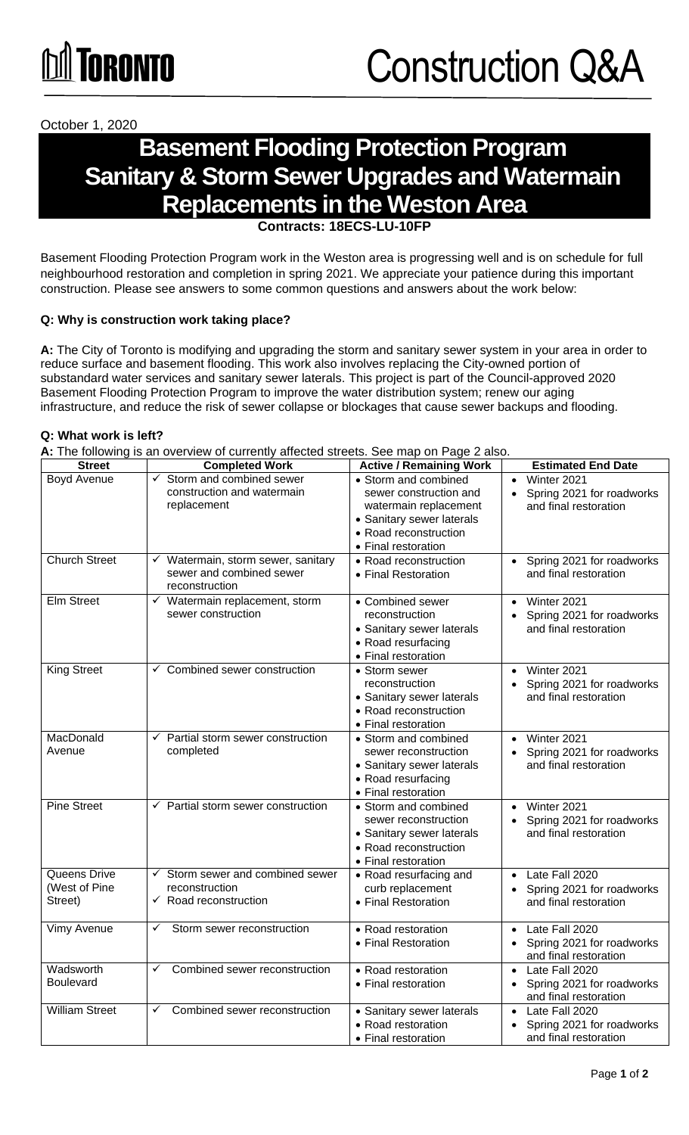

October 1, 2020

## **Basement Flooding Protection Program Sanitary & Storm Sewer Upgrades and Watermain Replacements in the Weston Area**

**Contracts: 18ECS-LU-10F** 

Basement Flooding Protection Program work in the Weston area is progressing well and is on schedule for full neighbourhood restoration and completion in spring 2021. We appreciate your patience during this important construction. Please see answers to some common questions and answers about the work below:

#### **Q: Why is construction work taking place?**

**A:** The City of Toronto is modifying and upgrading the storm and sanitary sewer system in your area in order to reduce surface and basement flooding. This work also involves replacing the City-owned portion of substandard water services and sanitary sewer laterals. This project is part of the Council-approved 2020 Basement Flooding Protection Program to improve the water distribution system; renew our aging infrastructure, and reduce the risk of sewer collapse or blockages that cause sewer backups and flooding.

#### **Q: What work is left?**

**A:** The following is an overview of currently affected streets. See map on Page 2 also.

| <b>Street</b>                            | $\blacksquare$ . The following is an overview or carreitity allegeed streets. Occ map on Fage 2 also.<br><b>Completed Work</b> | <b>Active / Remaining Work</b>                                                                                                                       | <b>Estimated End Date</b>                                                                      |
|------------------------------------------|--------------------------------------------------------------------------------------------------------------------------------|------------------------------------------------------------------------------------------------------------------------------------------------------|------------------------------------------------------------------------------------------------|
| Boyd Avenue                              | $\checkmark$ Storm and combined sewer<br>construction and watermain<br>replacement                                             | • Storm and combined<br>sewer construction and<br>watermain replacement<br>• Sanitary sewer laterals<br>• Road reconstruction<br>• Final restoration | Winter 2021<br>$\bullet$<br>Spring 2021 for roadworks<br>$\bullet$<br>and final restoration    |
| <b>Church Street</b>                     | $\checkmark$ Watermain, storm sewer, sanitary<br>sewer and combined sewer<br>reconstruction                                    | • Road reconstruction<br>• Final Restoration                                                                                                         | • Spring 2021 for roadworks<br>and final restoration                                           |
| <b>Elm Street</b>                        | $\checkmark$ Watermain replacement, storm<br>sewer construction                                                                | • Combined sewer<br>reconstruction<br>• Sanitary sewer laterals<br>• Road resurfacing<br>• Final restoration                                         | Winter 2021<br>$\bullet$<br>Spring 2021 for roadworks<br>and final restoration                 |
| <b>King Street</b>                       | $\checkmark$ Combined sewer construction                                                                                       | • Storm sewer<br>reconstruction<br>• Sanitary sewer laterals<br>• Road reconstruction<br>• Final restoration                                         | Winter 2021<br>$\bullet$<br>Spring 2021 for roadworks<br>and final restoration                 |
| MacDonald<br>Avenue                      | $\checkmark$ Partial storm sewer construction<br>completed                                                                     | • Storm and combined<br>sewer reconstruction<br>• Sanitary sewer laterals<br>• Road resurfacing<br>• Final restoration                               | Winter 2021<br>$\bullet$<br>Spring 2021 for roadworks<br>and final restoration                 |
| <b>Pine Street</b>                       | $\checkmark$ Partial storm sewer construction                                                                                  | • Storm and combined<br>sewer reconstruction<br>• Sanitary sewer laterals<br>• Road reconstruction<br>• Final restoration                            | Winter 2021<br>$\bullet$<br>Spring 2021 for roadworks<br>$\bullet$<br>and final restoration    |
| Queens Drive<br>(West of Pine<br>Street) | $\checkmark$ Storm sewer and combined sewer<br>reconstruction<br>$\checkmark$ Road reconstruction                              | • Road resurfacing and<br>curb replacement<br>• Final Restoration                                                                                    | Late Fall 2020<br>$\bullet$<br>Spring 2021 for roadworks<br>$\bullet$<br>and final restoration |
| Vimy Avenue                              | Storm sewer reconstruction<br>✓                                                                                                | • Road restoration<br>• Final Restoration                                                                                                            | • Late Fall 2020<br>Spring 2021 for roadworks<br>$\bullet$<br>and final restoration            |
| Wadsworth<br><b>Boulevard</b>            | Combined sewer reconstruction                                                                                                  | • Road restoration<br>• Final restoration                                                                                                            | Late Fall 2020<br>Spring 2021 for roadworks<br>and final restoration                           |
| <b>William Street</b>                    | Combined sewer reconstruction<br>✓                                                                                             | • Sanitary sewer laterals<br>• Road restoration<br>• Final restoration                                                                               | Late Fall 2020<br>Spring 2021 for roadworks<br>and final restoration                           |